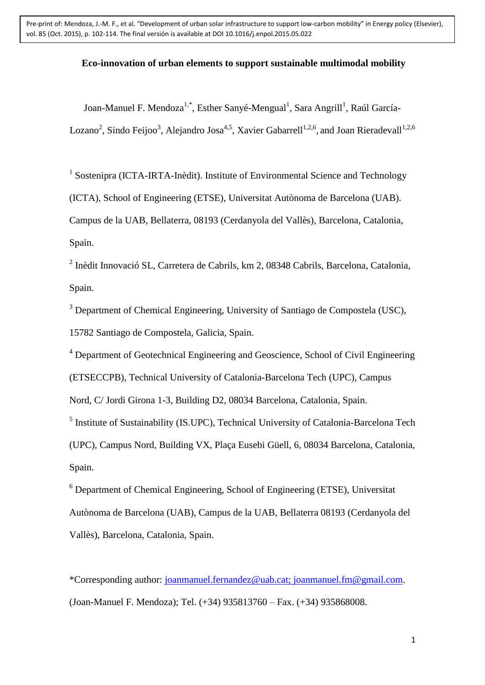## **Eco-innovation of urban elements to support sustainable multimodal mobility**

Joan-Manuel F. Mendoza $^{1,*}$ , Esther Sanyé-Mengual<sup>1</sup>, Sara Angrill<sup>1</sup>, Raúl García-Lozano<sup>2</sup>, Sindo Feijoo<sup>3</sup>, Alejandro Josa<sup>4,5</sup>, Xavier Gabarrell<sup>1,2,6</sup>, and Joan Rieradevall<sup>1,2,6</sup>

<sup>1</sup> Sostenipra (ICTA-IRTA-Inèdit). Institute of Environmental Science and Technology

(ICTA), School of Engineering (ETSE), Universitat Autònoma de Barcelona (UAB).

Campus de la UAB, Bellaterra, 08193 (Cerdanyola del Vallès), Barcelona, Catalonia, Spain.

2 Inèdit Innovació SL, Carretera de Cabrils, km 2, 08348 Cabrils, Barcelona, Catalonia, Spain.

<sup>3</sup> Department of Chemical Engineering, University of Santiago de Compostela (USC), 15782 Santiago de Compostela, Galicia, Spain.

<sup>4</sup> Department of Geotechnical Engineering and Geoscience, School of Civil Engineering

(ETSECCPB), Technical University of Catalonia-Barcelona Tech (UPC), Campus

Nord, C/ Jordi Girona 1-3, Building D2, 08034 Barcelona, Catalonia, Spain.

<sup>5</sup> Institute of Sustainability (IS.UPC), Technical University of Catalonia-Barcelona Tech (UPC), Campus Nord, Building VX, Plaça Eusebi Güell, 6, 08034 Barcelona, Catalonia, Spain.

<sup>6</sup> Department of Chemical Engineering, School of Engineering (ETSE), Universitat Autònoma de Barcelona (UAB), Campus de la UAB, Bellaterra 08193 (Cerdanyola del Vallès), Barcelona, Catalonia, Spain.

\*Corresponding author: [joanmanuel.fernandez@uab.cat;](mailto:joanmanuel.fernandez@uab.cat) joanmanuel.fm@gmail.com. (Joan-Manuel F. Mendoza); Tel. (+34) 935813760 – Fax. (+34) 935868008.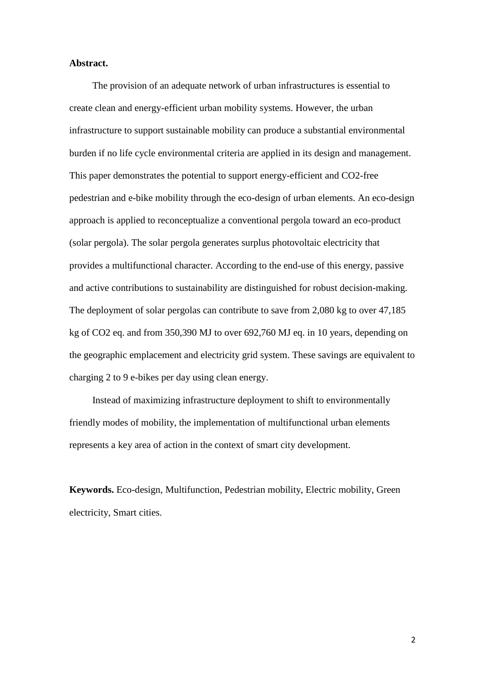### **Abstract.**

The provision of an adequate network of urban infrastructures is essential to create clean and energy-efficient urban mobility systems. However, the urban infrastructure to support sustainable mobility can produce a substantial environmental burden if no life cycle environmental criteria are applied in its design and management. This paper demonstrates the potential to support energy-efficient and CO2-free pedestrian and e-bike mobility through the eco-design of urban elements. An eco-design approach is applied to reconceptualize a conventional pergola toward an eco-product (solar pergola). The solar pergola generates surplus photovoltaic electricity that provides a multifunctional character. According to the end-use of this energy, passive and active contributions to sustainability are distinguished for robust decision-making. The deployment of solar pergolas can contribute to save from 2,080 kg to over 47,185 kg of CO2 eq. and from 350,390 MJ to over 692,760 MJ eq. in 10 years, depending on the geographic emplacement and electricity grid system. These savings are equivalent to charging 2 to 9 e-bikes per day using clean energy.

Instead of maximizing infrastructure deployment to shift to environmentally friendly modes of mobility, the implementation of multifunctional urban elements represents a key area of action in the context of smart city development.

**Keywords.** Eco-design, Multifunction, Pedestrian mobility, Electric mobility, Green electricity, Smart cities.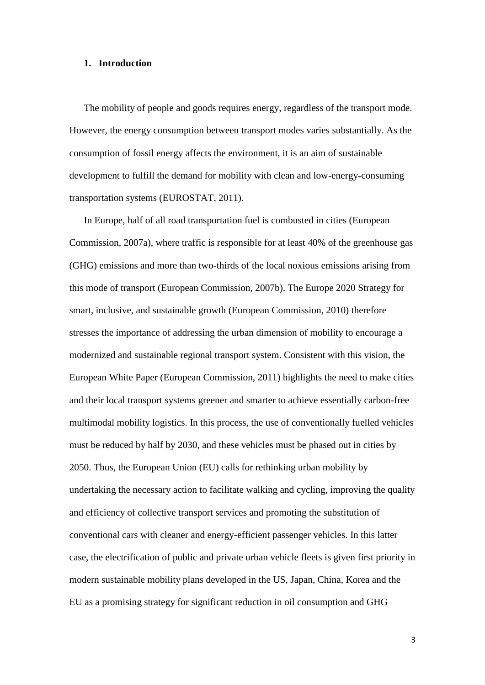#### **1. Introduction**

The mobility of people and goods requires energy, regardless of the transport mode. However, the energy consumption between transport modes varies substantially. As the consumption of fossil energy affects the environment, it is an aim of sustainable development to fulfill the demand for mobility with clean and low-energy-consuming transportation systems (EUROSTAT, 2011).

In Europe, half of all road transportation fuel is combusted in cities (European Commission, 2007a), where traffic is responsible for at least 40% of the greenhouse gas (GHG) emissions and more than two-thirds of the local noxious emissions arising from this mode of transport (European Commission, 2007b). The Europe 2020 Strategy for smart, inclusive, and sustainable growth (European Commission, 2010) therefore stresses the importance of addressing the urban dimension of mobility to encourage a modernized and sustainable regional transport system. Consistent with this vision, the European White Paper (European Commission, 2011) highlights the need to make cities and their local transport systems greener and smarter to achieve essentially carbon-free multimodal mobility logistics. In this process, the use of conventionally fuelled vehicles must be reduced by half by 2030, and these vehicles must be phased out in cities by 2050. Thus, the European Union (EU) calls for rethinking urban mobility by undertaking the necessary action to facilitate walking and cycling, improving the quality and efficiency of collective transport services and promoting the substitution of conventional cars with cleaner and energy-efficient passenger vehicles. In this latter case, the electrification of public and private urban vehicle fleets is given first priority in modern sustainable mobility plans developed in the US, Japan, China, Korea and the EU as a promising strategy for significant reduction in oil consumption and GHG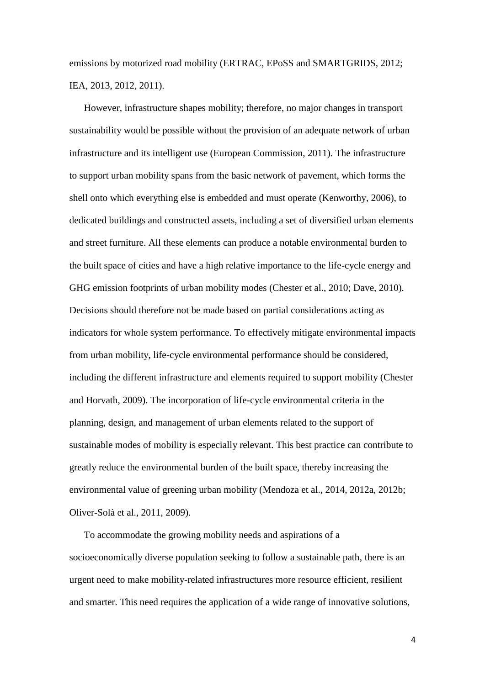emissions by motorized road mobility (ERTRAC, EPoSS and SMARTGRIDS, 2012; IEA, 2013, 2012, 2011).

However, infrastructure shapes mobility; therefore, no major changes in transport sustainability would be possible without the provision of an adequate network of urban infrastructure and its intelligent use (European Commission, 2011). The infrastructure to support urban mobility spans from the basic network of pavement, which forms the shell onto which everything else is embedded and must operate (Kenworthy, 2006), to dedicated buildings and constructed assets, including a set of diversified urban elements and street furniture. All these elements can produce a notable environmental burden to the built space of cities and have a high relative importance to the life-cycle energy and GHG emission footprints of urban mobility modes (Chester et al., 2010; Dave, 2010). Decisions should therefore not be made based on partial considerations acting as indicators for whole system performance. To effectively mitigate environmental impacts from urban mobility, life-cycle environmental performance should be considered, including the different infrastructure and elements required to support mobility (Chester and Horvath, 2009). The incorporation of life-cycle environmental criteria in the planning, design, and management of urban elements related to the support of sustainable modes of mobility is especially relevant. This best practice can contribute to greatly reduce the environmental burden of the built space, thereby increasing the environmental value of greening urban mobility (Mendoza et al., 2014, 2012a, 2012b; Oliver-Solà et al., 2011, 2009).

To accommodate the growing mobility needs and aspirations of a socioeconomically diverse population seeking to follow a sustainable path, there is an urgent need to make mobility-related infrastructures more resource efficient, resilient and smarter. This need requires the application of a wide range of innovative solutions,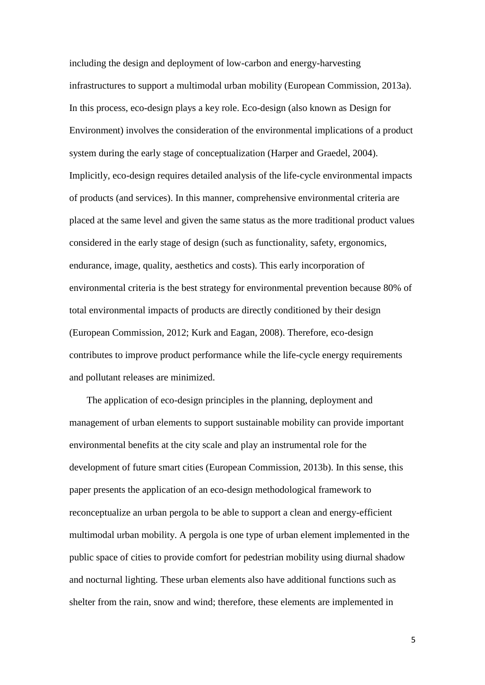including the design and deployment of low-carbon and energy-harvesting infrastructures to support a multimodal urban mobility (European Commission, 2013a). In this process, eco-design plays a key role. Eco-design (also known as Design for Environment) involves the consideration of the environmental implications of a product system during the early stage of conceptualization (Harper and Graedel, 2004). Implicitly, eco-design requires detailed analysis of the life-cycle environmental impacts of products (and services). In this manner, comprehensive environmental criteria are placed at the same level and given the same status as the more traditional product values considered in the early stage of design (such as functionality, safety, ergonomics, endurance, image, quality, aesthetics and costs). This early incorporation of environmental criteria is the best strategy for environmental prevention because 80% of total environmental impacts of products are directly conditioned by their design (European Commission, 2012; Kurk and Eagan, 2008). Therefore, eco-design contributes to improve product performance while the life-cycle energy requirements and pollutant releases are minimized.

The application of eco-design principles in the planning, deployment and management of urban elements to support sustainable mobility can provide important environmental benefits at the city scale and play an instrumental role for the development of future smart cities (European Commission, 2013b). In this sense, this paper presents the application of an eco-design methodological framework to reconceptualize an urban pergola to be able to support a clean and energy-efficient multimodal urban mobility. A pergola is one type of urban element implemented in the public space of cities to provide comfort for pedestrian mobility using diurnal shadow and nocturnal lighting. These urban elements also have additional functions such as shelter from the rain, snow and wind; therefore, these elements are implemented in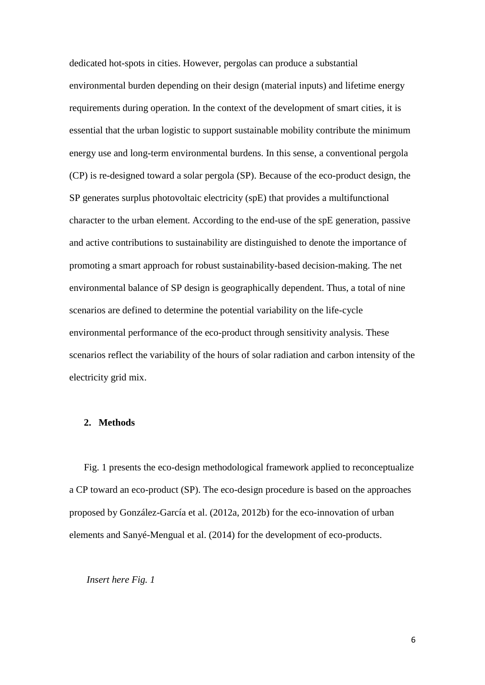dedicated hot-spots in cities. However, pergolas can produce a substantial environmental burden depending on their design (material inputs) and lifetime energy requirements during operation. In the context of the development of smart cities, it is essential that the urban logistic to support sustainable mobility contribute the minimum energy use and long-term environmental burdens. In this sense, a conventional pergola (CP) is re-designed toward a solar pergola (SP). Because of the eco-product design, the SP generates surplus photovoltaic electricity (spE) that provides a multifunctional character to the urban element. According to the end-use of the spE generation, passive and active contributions to sustainability are distinguished to denote the importance of promoting a smart approach for robust sustainability-based decision-making. The net environmental balance of SP design is geographically dependent. Thus, a total of nine scenarios are defined to determine the potential variability on the life-cycle environmental performance of the eco-product through sensitivity analysis. These scenarios reflect the variability of the hours of solar radiation and carbon intensity of the electricity grid mix.

### **2. Methods**

Fig. 1 presents the eco-design methodological framework applied to reconceptualize a CP toward an eco-product (SP). The eco-design procedure is based on the approaches proposed by González-García et al. (2012a, 2012b) for the eco-innovation of urban elements and Sanyé-Mengual et al. (2014) for the development of eco-products.

## *Insert here Fig. 1*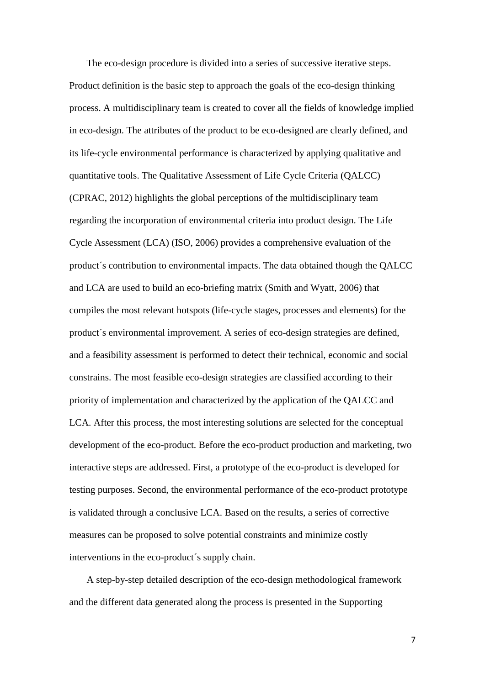The eco-design procedure is divided into a series of successive iterative steps. Product definition is the basic step to approach the goals of the eco-design thinking process. A multidisciplinary team is created to cover all the fields of knowledge implied in eco-design. The attributes of the product to be eco-designed are clearly defined, and its life-cycle environmental performance is characterized by applying qualitative and quantitative tools. The Qualitative Assessment of Life Cycle Criteria (QALCC) (CPRAC, 2012) highlights the global perceptions of the multidisciplinary team regarding the incorporation of environmental criteria into product design. The Life Cycle Assessment (LCA) (ISO, 2006) provides a comprehensive evaluation of the product´s contribution to environmental impacts. The data obtained though the QALCC and LCA are used to build an eco-briefing matrix (Smith and Wyatt, 2006) that compiles the most relevant hotspots (life-cycle stages, processes and elements) for the product´s environmental improvement. A series of eco-design strategies are defined, and a feasibility assessment is performed to detect their technical, economic and social constrains. The most feasible eco-design strategies are classified according to their priority of implementation and characterized by the application of the QALCC and LCA. After this process, the most interesting solutions are selected for the conceptual development of the eco-product. Before the eco-product production and marketing, two interactive steps are addressed. First, a prototype of the eco-product is developed for testing purposes. Second, the environmental performance of the eco-product prototype is validated through a conclusive LCA. Based on the results, a series of corrective measures can be proposed to solve potential constraints and minimize costly interventions in the eco-product´s supply chain.

A step-by-step detailed description of the eco-design methodological framework and the different data generated along the process is presented in the Supporting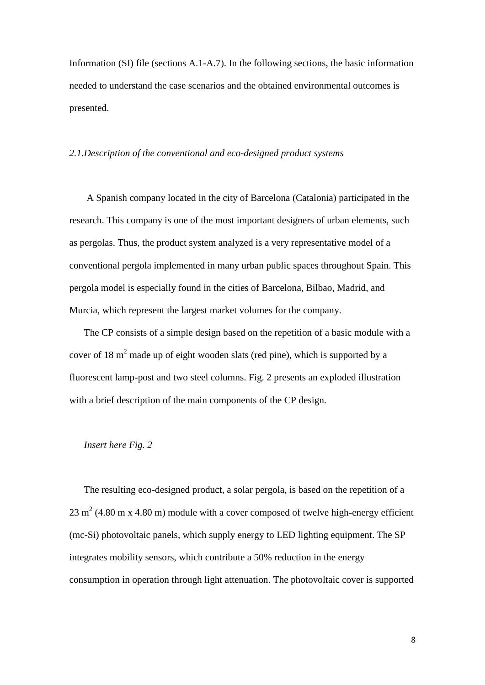Information (SI) file (sections A.1-A.7). In the following sections, the basic information needed to understand the case scenarios and the obtained environmental outcomes is presented.

#### *2.1.Description of the conventional and eco-designed product systems*

A Spanish company located in the city of Barcelona (Catalonia) participated in the research. This company is one of the most important designers of urban elements, such as pergolas. Thus, the product system analyzed is a very representative model of a conventional pergola implemented in many urban public spaces throughout Spain. This pergola model is especially found in the cities of Barcelona, Bilbao, Madrid, and Murcia, which represent the largest market volumes for the company.

The CP consists of a simple design based on the repetition of a basic module with a cover of 18  $m<sup>2</sup>$  made up of eight wooden slats (red pine), which is supported by a fluorescent lamp-post and two steel columns. Fig. 2 presents an exploded illustration with a brief description of the main components of the CP design.

#### *Insert here Fig. 2*

The resulting eco-designed product, a solar pergola, is based on the repetition of a 23 m<sup>2</sup> (4.80 m x 4.80 m) module with a cover composed of twelve high-energy efficient (mc-Si) photovoltaic panels, which supply energy to LED lighting equipment. The SP integrates mobility sensors, which contribute a 50% reduction in the energy consumption in operation through light attenuation. The photovoltaic cover is supported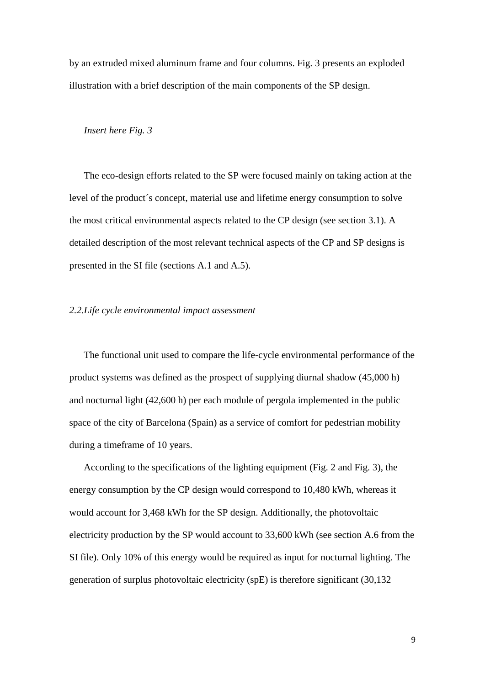by an extruded mixed aluminum frame and four columns. Fig. 3 presents an exploded illustration with a brief description of the main components of the SP design.

## *Insert here Fig. 3*

The eco-design efforts related to the SP were focused mainly on taking action at the level of the product´s concept, material use and lifetime energy consumption to solve the most critical environmental aspects related to the CP design (see section 3.1). A detailed description of the most relevant technical aspects of the CP and SP designs is presented in the SI file (sections A.1 and A.5).

#### *2.2.Life cycle environmental impact assessment*

The functional unit used to compare the life-cycle environmental performance of the product systems was defined as the prospect of supplying diurnal shadow (45,000 h) and nocturnal light (42,600 h) per each module of pergola implemented in the public space of the city of Barcelona (Spain) as a service of comfort for pedestrian mobility during a timeframe of 10 years.

According to the specifications of the lighting equipment (Fig. 2 and Fig. 3), the energy consumption by the CP design would correspond to 10,480 kWh, whereas it would account for 3,468 kWh for the SP design. Additionally, the photovoltaic electricity production by the SP would account to 33,600 kWh (see section A.6 from the SI file). Only 10% of this energy would be required as input for nocturnal lighting. The generation of surplus photovoltaic electricity (spE) is therefore significant (30,132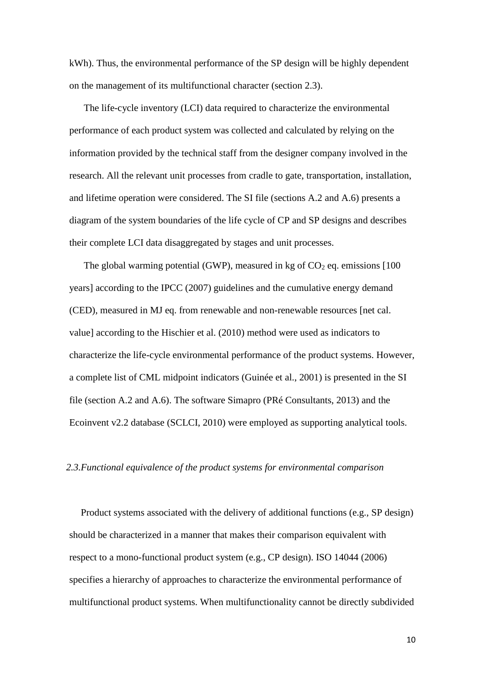kWh). Thus, the environmental performance of the SP design will be highly dependent on the management of its multifunctional character (section 2.3).

The life-cycle inventory (LCI) data required to characterize the environmental performance of each product system was collected and calculated by relying on the information provided by the technical staff from the designer company involved in the research. All the relevant unit processes from cradle to gate, transportation, installation, and lifetime operation were considered. The SI file (sections A.2 and A.6) presents a diagram of the system boundaries of the life cycle of CP and SP designs and describes their complete LCI data disaggregated by stages and unit processes.

The global warming potential (GWP), measured in kg of  $CO<sub>2</sub>$  eq. emissions [100] years] according to the IPCC (2007) guidelines and the cumulative energy demand (CED), measured in MJ eq. from renewable and non-renewable resources [net cal. value] according to the Hischier et al. (2010) method were used as indicators to characterize the life-cycle environmental performance of the product systems. However, a complete list of CML midpoint indicators (Guinée et al., 2001) is presented in the SI file (section A.2 and A.6). The software Simapro (PRé Consultants, 2013) and the Ecoinvent v2.2 database (SCLCI, 2010) were employed as supporting analytical tools.

#### *2.3.Functional equivalence of the product systems for environmental comparison*

Product systems associated with the delivery of additional functions (e.g., SP design) should be characterized in a manner that makes their comparison equivalent with respect to a mono-functional product system (e.g., CP design). ISO 14044 (2006) specifies a hierarchy of approaches to characterize the environmental performance of multifunctional product systems. When multifunctionality cannot be directly subdivided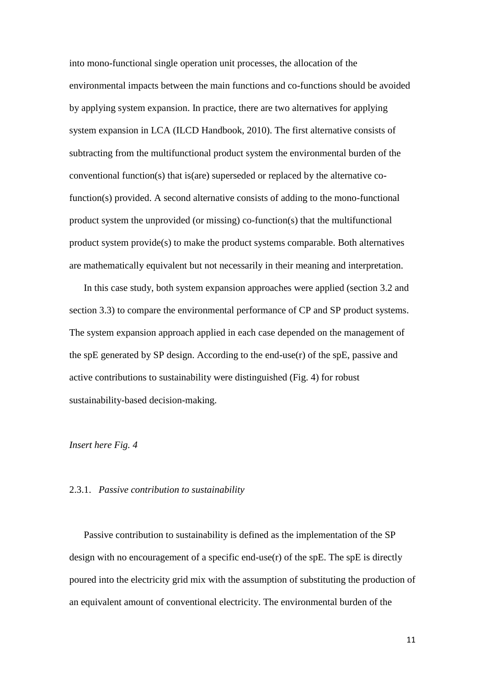into mono-functional single operation unit processes, the allocation of the environmental impacts between the main functions and co-functions should be avoided by applying system expansion. In practice, there are two alternatives for applying system expansion in LCA (ILCD Handbook, 2010). The first alternative consists of subtracting from the multifunctional product system the environmental burden of the conventional function(s) that is(are) superseded or replaced by the alternative cofunction(s) provided. A second alternative consists of adding to the mono-functional product system the unprovided (or missing) co-function(s) that the multifunctional product system provide(s) to make the product systems comparable. Both alternatives are mathematically equivalent but not necessarily in their meaning and interpretation.

In this case study, both system expansion approaches were applied (section 3.2 and section 3.3) to compare the environmental performance of CP and SP product systems. The system expansion approach applied in each case depended on the management of the spE generated by SP design. According to the end-use(r) of the spE, passive and active contributions to sustainability were distinguished (Fig. 4) for robust sustainability-based decision-making.

## *Insert here Fig. 4*

#### 2.3.1. *Passive contribution to sustainability*

Passive contribution to sustainability is defined as the implementation of the SP design with no encouragement of a specific end-use(r) of the spE. The spE is directly poured into the electricity grid mix with the assumption of substituting the production of an equivalent amount of conventional electricity. The environmental burden of the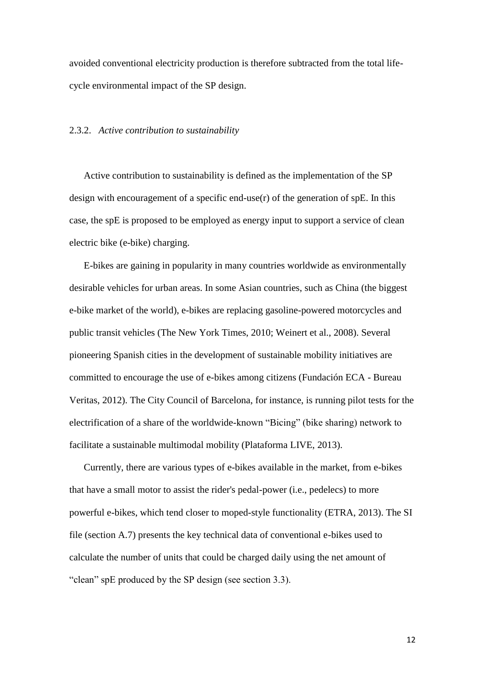avoided conventional electricity production is therefore subtracted from the total lifecycle environmental impact of the SP design.

#### 2.3.2. *Active contribution to sustainability*

Active contribution to sustainability is defined as the implementation of the SP design with encouragement of a specific end-use(r) of the generation of spE. In this case, the spE is proposed to be employed as energy input to support a service of clean electric bike (e-bike) charging.

E-bikes are gaining in popularity in many countries worldwide as environmentally desirable vehicles for urban areas. In some Asian countries, such as China (the biggest e-bike market of the world), e-bikes are replacing gasoline-powered motorcycles and public transit vehicles (The New York Times, 2010; Weinert et al., 2008). Several pioneering Spanish cities in the development of sustainable mobility initiatives are committed to encourage the use of e-bikes among citizens (Fundación ECA - Bureau Veritas, 2012). The City Council of Barcelona, for instance, is running pilot tests for the electrification of a share of the worldwide-known "Bicing" (bike sharing) network to facilitate a sustainable multimodal mobility (Plataforma LIVE, 2013).

Currently, there are various types of e-bikes available in the market, from e-bikes that have a small motor to assist the rider's pedal-power (i.e., [pedelecs\)](http://en.wikipedia.org/wiki/Pedelec) to more powerful e-bikes, which tend closer to [moped-](http://en.wikipedia.org/wiki/Moped)style functionality (ETRA, 2013). The SI file (section A.7) presents the key technical data of conventional e-bikes used to calculate the number of units that could be charged daily using the net amount of "clean" spE produced by the SP design (see section 3.3).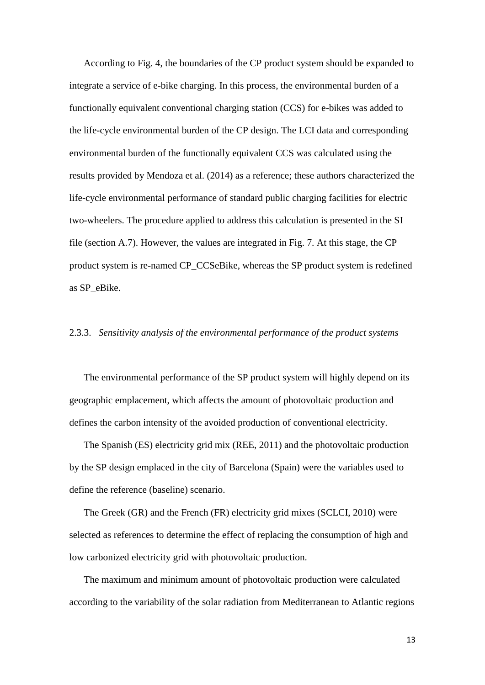According to Fig. 4, the boundaries of the CP product system should be expanded to integrate a service of e-bike charging. In this process, the environmental burden of a functionally equivalent conventional charging station (CCS) for e-bikes was added to the life-cycle environmental burden of the CP design. The LCI data and corresponding environmental burden of the functionally equivalent CCS was calculated using the results provided by Mendoza et al. (2014) as a reference; these authors characterized the life-cycle environmental performance of standard public charging facilities for electric two-wheelers. The procedure applied to address this calculation is presented in the SI file (section A.7). However, the values are integrated in Fig. 7. At this stage, the CP product system is re-named CP\_CCSeBike, whereas the SP product system is redefined as SP\_eBike.

## 2.3.3. *Sensitivity analysis of the environmental performance of the product systems*

The environmental performance of the SP product system will highly depend on its geographic emplacement, which affects the amount of photovoltaic production and defines the carbon intensity of the avoided production of conventional electricity.

The Spanish (ES) electricity grid mix (REE, 2011) and the photovoltaic production by the SP design emplaced in the city of Barcelona (Spain) were the variables used to define the reference (baseline) scenario.

The Greek (GR) and the French (FR) electricity grid mixes (SCLCI, 2010) were selected as references to determine the effect of replacing the consumption of high and low carbonized electricity grid with photovoltaic production.

The maximum and minimum amount of photovoltaic production were calculated according to the variability of the solar radiation from Mediterranean to Atlantic regions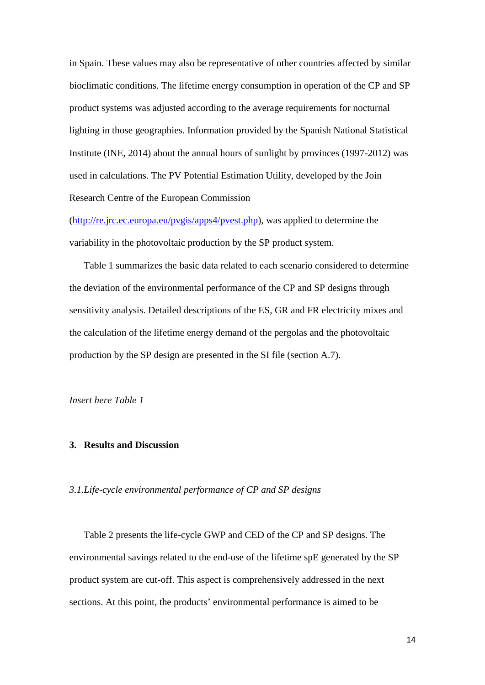in Spain. These values may also be representative of other countries affected by similar bioclimatic conditions. The lifetime energy consumption in operation of the CP and SP product systems was adjusted according to the average requirements for nocturnal lighting in those geographies. Information provided by the Spanish National Statistical Institute (INE, 2014) about the annual hours of sunlight by provinces (1997-2012) was used in calculations. The PV Potential Estimation Utility, developed by the Join Research Centre of the European Commission

[\(http://re.jrc.ec.europa.eu/pvgis/apps4/pvest.php\)](http://re.jrc.ec.europa.eu/pvgis/apps4/pvest.php), was applied to determine the variability in the photovoltaic production by the SP product system.

Table 1 summarizes the basic data related to each scenario considered to determine the deviation of the environmental performance of the CP and SP designs through sensitivity analysis. Detailed descriptions of the ES, GR and FR electricity mixes and the calculation of the lifetime energy demand of the pergolas and the photovoltaic production by the SP design are presented in the SI file (section A.7).

*Insert here Table 1*

#### **3. Results and Discussion**

#### *3.1.Life-cycle environmental performance of CP and SP designs*

Table 2 presents the life-cycle GWP and CED of the CP and SP designs. The environmental savings related to the end-use of the lifetime spE generated by the SP product system are cut-off. This aspect is comprehensively addressed in the next sections. At this point, the products' environmental performance is aimed to be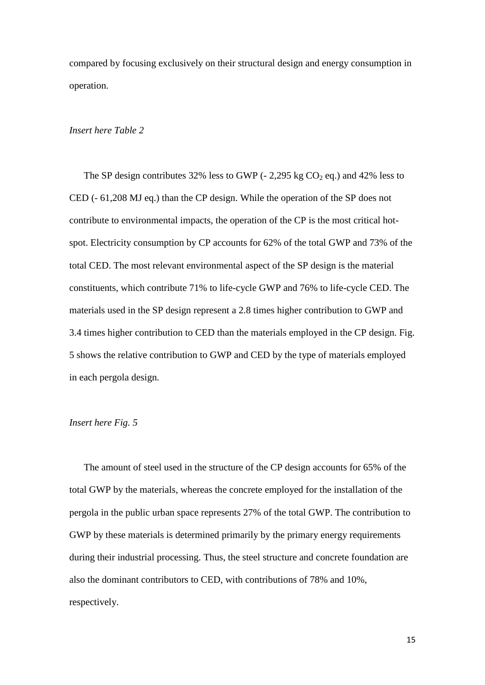compared by focusing exclusively on their structural design and energy consumption in operation.

## *Insert here Table 2*

The SP design contributes 32% less to GWP (- 2,295 kg  $CO<sub>2</sub>$  eq.) and 42% less to CED (- 61,208 MJ eq.) than the CP design. While the operation of the SP does not contribute to environmental impacts, the operation of the CP is the most critical hotspot. Electricity consumption by CP accounts for 62% of the total GWP and 73% of the total CED. The most relevant environmental aspect of the SP design is the material constituents, which contribute 71% to life-cycle GWP and 76% to life-cycle CED. The materials used in the SP design represent a 2.8 times higher contribution to GWP and 3.4 times higher contribution to CED than the materials employed in the CP design. Fig. 5 shows the relative contribution to GWP and CED by the type of materials employed in each pergola design.

## *Insert here Fig. 5*

The amount of steel used in the structure of the CP design accounts for 65% of the total GWP by the materials, whereas the concrete employed for the installation of the pergola in the public urban space represents 27% of the total GWP. The contribution to GWP by these materials is determined primarily by the primary energy requirements during their industrial processing. Thus, the steel structure and concrete foundation are also the dominant contributors to CED, with contributions of 78% and 10%, respectively.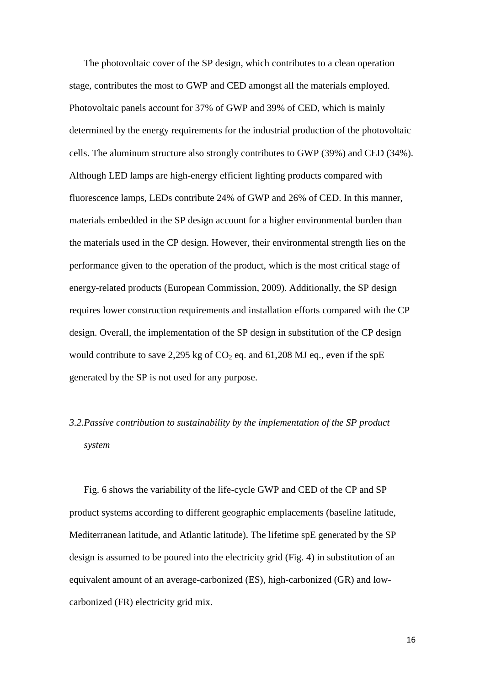The photovoltaic cover of the SP design, which contributes to a clean operation stage, contributes the most to GWP and CED amongst all the materials employed. Photovoltaic panels account for 37% of GWP and 39% of CED, which is mainly determined by the energy requirements for the industrial production of the photovoltaic cells. The aluminum structure also strongly contributes to GWP (39%) and CED (34%). Although LED lamps are high-energy efficient lighting products compared with fluorescence lamps, LEDs contribute 24% of GWP and 26% of CED. In this manner, materials embedded in the SP design account for a higher environmental burden than the materials used in the CP design. However, their environmental strength lies on the performance given to the operation of the product, which is the most critical stage of energy-related products (European Commission, 2009). Additionally, the SP design requires lower construction requirements and installation efforts compared with the CP design. Overall, the implementation of the SP design in substitution of the CP design would contribute to save 2,295 kg of  $CO<sub>2</sub>$  eq. and 61,208 MJ eq., even if the spE generated by the SP is not used for any purpose.

# *3.2.Passive contribution to sustainability by the implementation of the SP product system*

Fig. 6 shows the variability of the life-cycle GWP and CED of the CP and SP product systems according to different geographic emplacements (baseline latitude, Mediterranean latitude, and Atlantic latitude). The lifetime spE generated by the SP design is assumed to be poured into the electricity grid (Fig. 4) in substitution of an equivalent amount of an average-carbonized (ES), high-carbonized (GR) and lowcarbonized (FR) electricity grid mix.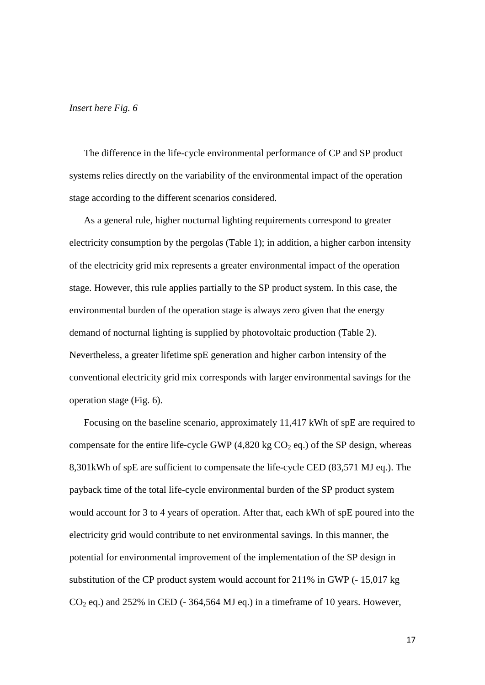#### *Insert here Fig. 6*

The difference in the life-cycle environmental performance of CP and SP product systems relies directly on the variability of the environmental impact of the operation stage according to the different scenarios considered.

As a general rule, higher nocturnal lighting requirements correspond to greater electricity consumption by the pergolas (Table 1); in addition, a higher carbon intensity of the electricity grid mix represents a greater environmental impact of the operation stage. However, this rule applies partially to the SP product system. In this case, the environmental burden of the operation stage is always zero given that the energy demand of nocturnal lighting is supplied by photovoltaic production (Table 2). Nevertheless, a greater lifetime spE generation and higher carbon intensity of the conventional electricity grid mix corresponds with larger environmental savings for the operation stage (Fig. 6).

Focusing on the baseline scenario, approximately 11,417 kWh of spE are required to compensate for the entire life-cycle GWP  $(4,820 \text{ kg CO}_2 \text{ eq.})$  of the SP design, whereas 8,301kWh of spE are sufficient to compensate the life-cycle CED (83,571 MJ eq.). The payback time of the total life-cycle environmental burden of the SP product system would account for 3 to 4 years of operation. After that, each kWh of spE poured into the electricity grid would contribute to net environmental savings. In this manner, the potential for environmental improvement of the implementation of the SP design in substitution of the CP product system would account for 211% in GWP (- 15,017 kg  $CO<sub>2</sub>$  eq.) and 252% in CED (-364,564 MJ eq.) in a timeframe of 10 years. However,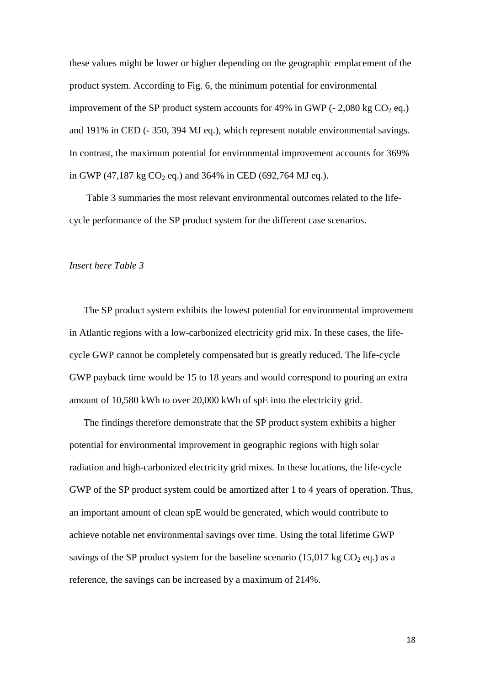these values might be lower or higher depending on the geographic emplacement of the product system. According to Fig. 6, the minimum potential for environmental improvement of the SP product system accounts for 49% in GWP ( $-$  2,080 kg CO<sub>2</sub> eq.) and 191% in CED (- 350, 394 MJ eq.), which represent notable environmental savings. In contrast, the maximum potential for environmental improvement accounts for 369% in GWP (47,187 kg CO<sub>2</sub> eq.) and 364% in CED (692,764 MJ eq.).

Table 3 summaries the most relevant environmental outcomes related to the lifecycle performance of the SP product system for the different case scenarios.

## *Insert here Table 3*

The SP product system exhibits the lowest potential for environmental improvement in Atlantic regions with a low-carbonized electricity grid mix. In these cases, the lifecycle GWP cannot be completely compensated but is greatly reduced. The life-cycle GWP payback time would be 15 to 18 years and would correspond to pouring an extra amount of 10,580 kWh to over 20,000 kWh of spE into the electricity grid.

The findings therefore demonstrate that the SP product system exhibits a higher potential for environmental improvement in geographic regions with high solar radiation and high-carbonized electricity grid mixes. In these locations, the life-cycle GWP of the SP product system could be amortized after 1 to 4 years of operation. Thus, an important amount of clean spE would be generated, which would contribute to achieve notable net environmental savings over time. Using the total lifetime GWP savings of the SP product system for the baseline scenario (15,017 kg  $CO<sub>2</sub>$  eq.) as a reference, the savings can be increased by a maximum of 214%.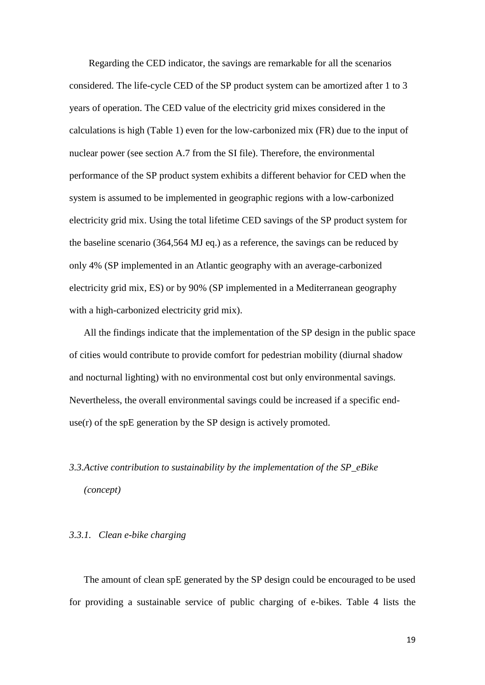Regarding the CED indicator, the savings are remarkable for all the scenarios considered. The life-cycle CED of the SP product system can be amortized after 1 to 3 years of operation. The CED value of the electricity grid mixes considered in the calculations is high (Table 1) even for the low-carbonized mix (FR) due to the input of nuclear power (see section A.7 from the SI file). Therefore, the environmental performance of the SP product system exhibits a different behavior for CED when the system is assumed to be implemented in geographic regions with a low-carbonized electricity grid mix. Using the total lifetime CED savings of the SP product system for the baseline scenario (364,564 MJ eq.) as a reference, the savings can be reduced by only 4% (SP implemented in an Atlantic geography with an average-carbonized electricity grid mix, ES) or by 90% (SP implemented in a Mediterranean geography with a high-carbonized electricity grid mix).

All the findings indicate that the implementation of the SP design in the public space of cities would contribute to provide comfort for pedestrian mobility (diurnal shadow and nocturnal lighting) with no environmental cost but only environmental savings. Nevertheless, the overall environmental savings could be increased if a specific enduse $(r)$  of the spE generation by the SP design is actively promoted.

# *3.3.Active contribution to sustainability by the implementation of the SP\_eBike (concept)*

## *3.3.1. Clean e-bike charging*

The amount of clean spE generated by the SP design could be encouraged to be used for providing a sustainable service of public charging of e-bikes. Table 4 lists the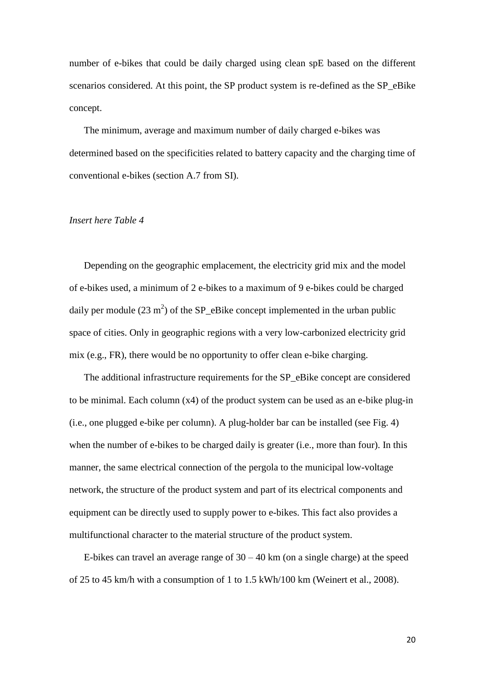number of e-bikes that could be daily charged using clean spE based on the different scenarios considered. At this point, the SP product system is re-defined as the SP\_eBike concept.

The minimum, average and maximum number of daily charged e-bikes was determined based on the specificities related to battery capacity and the charging time of conventional e-bikes (section A.7 from SI).

## *Insert here Table 4*

Depending on the geographic emplacement, the electricity grid mix and the model of e-bikes used, a minimum of 2 e-bikes to a maximum of 9 e-bikes could be charged daily per module  $(23 \text{ m}^2)$  of the SP\_eBike concept implemented in the urban public space of cities. Only in geographic regions with a very low-carbonized electricity grid mix (e.g., FR), there would be no opportunity to offer clean e-bike charging.

The additional infrastructure requirements for the SP\_eBike concept are considered to be minimal. Each column (x4) of the product system can be used as an e-bike plug-in (i.e., one plugged e-bike per column). A plug-holder bar can be installed (see Fig. 4) when the number of e-bikes to be charged daily is greater (i.e., more than four). In this manner, the same electrical connection of the pergola to the municipal low-voltage network, the structure of the product system and part of its electrical components and equipment can be directly used to supply power to e-bikes. This fact also provides a multifunctional character to the material structure of the product system.

E-bikes can travel an average range of  $30 - 40$  km (on a single charge) at the speed of 25 to 45 km/h with a consumption of 1 to 1.5 kWh/100 km (Weinert et al., 2008).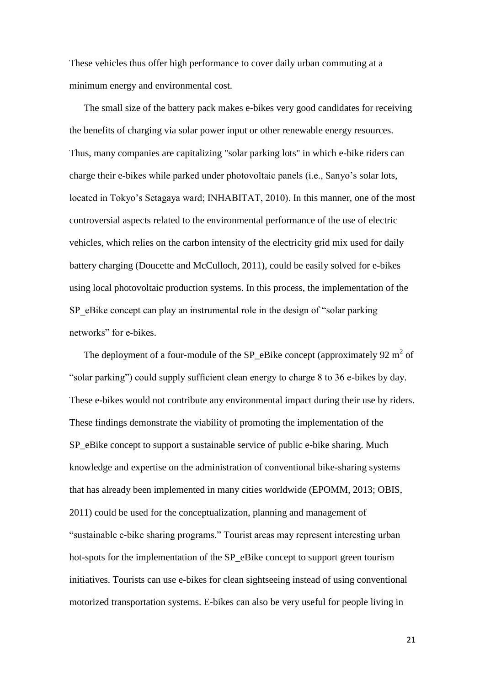These vehicles thus offer high performance to cover daily urban commuting at a minimum energy and environmental cost.

The small size of the battery pack makes e-bikes very good candidates for receiving the benefits of charging via [solar power](http://en.wikipedia.org/wiki/Solar_power) input or other renewable energy resources. Thus, many companies are capitalizing "solar parking lots" in which e-bike riders can charge their e-bikes while parked under photovoltaic panels (i.e., Sanyo's [solar lots,](http://inhabitat.com/2009/07/27/solar-forest-charging-system-for-parking-lots/) located in Tokyo's Setagaya ward; INHABITAT, 2010). In this manner, one of the most controversial aspects related to the environmental performance of the use of electric vehicles, which relies on the carbon intensity of the electricity grid mix used for daily battery charging (Doucette and McCulloch, 2011), could be easily solved for e-bikes using local photovoltaic production systems. In this process, the implementation of the SP\_eBike concept can play an instrumental role in the design of "solar parking" networks" for e-bikes.

The deployment of a four-module of the SP\_eBike concept (approximately  $92 \text{ m}^2$  of "solar parking") could supply sufficient clean energy to charge 8 to 36 e-bikes by day. These e-bikes would not contribute any environmental impact during their use by riders. These findings demonstrate the viability of promoting the implementation of the SP\_eBike concept to support a sustainable service of public e-bike sharing. Much knowledge and expertise on the administration of conventional bike-sharing systems that has already been implemented in many cities worldwide (EPOMM, 2013; OBIS, 2011) could be used for the conceptualization, planning and management of "sustainable e-bike sharing programs." Tourist areas may represent interesting urban hot-spots for the implementation of the SP\_eBike concept to support green tourism initiatives. Tourists can use e-bikes for clean sightseeing instead of using conventional motorized transportation systems. E-bikes can also be very useful for people living in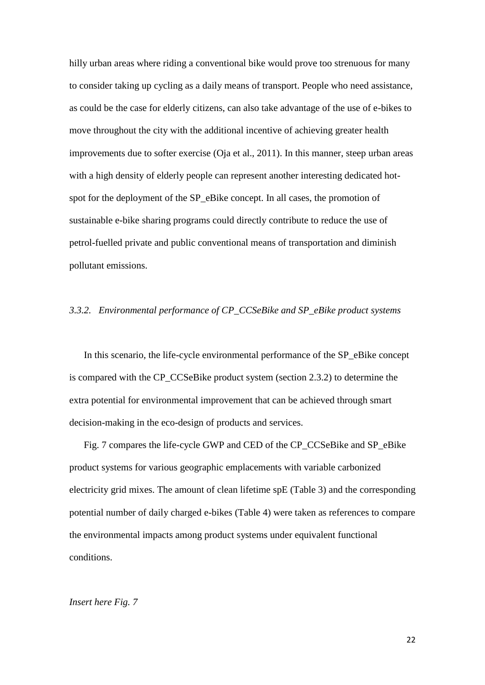hilly urban areas where riding a conventional bike would prove too strenuous for many to consider taking up cycling as a daily means of transport. People who need assistance, as could be the case for elderly citizens, can also take advantage of the use of e-bikes to move throughout the city with the additional incentive of achieving greater health improvements due to softer exercise (Oja et al., 2011). In this manner, steep urban areas with a high density of elderly people can represent another interesting dedicated hotspot for the deployment of the SP\_eBike concept. In all cases, the promotion of sustainable e-bike sharing programs could directly contribute to reduce the use of petrol-fuelled private and public conventional means of transportation and diminish pollutant emissions.

#### *3.3.2. Environmental performance of CP\_CCSeBike and SP\_eBike product systems*

In this scenario, the life-cycle environmental performance of the SP\_eBike concept is compared with the CP\_CCSeBike product system (section 2.3.2) to determine the extra potential for environmental improvement that can be achieved through smart decision-making in the eco-design of products and services.

Fig. 7 compares the life-cycle GWP and CED of the CP\_CCSeBike and SP\_eBike product systems for various geographic emplacements with variable carbonized electricity grid mixes. The amount of clean lifetime spE (Table 3) and the corresponding potential number of daily charged e-bikes (Table 4) were taken as references to compare the environmental impacts among product systems under equivalent functional conditions.

#### *Insert here Fig. 7*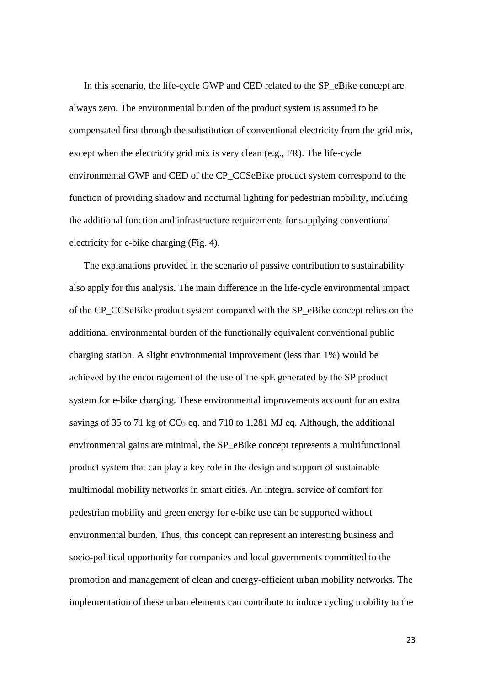In this scenario, the life-cycle GWP and CED related to the SP\_eBike concept are always zero. The environmental burden of the product system is assumed to be compensated first through the substitution of conventional electricity from the grid mix, except when the electricity grid mix is very clean (e.g., FR). The life-cycle environmental GWP and CED of the CP\_CCSeBike product system correspond to the function of providing shadow and nocturnal lighting for pedestrian mobility, including the additional function and infrastructure requirements for supplying conventional electricity for e-bike charging (Fig. 4).

The explanations provided in the scenario of passive contribution to sustainability also apply for this analysis. The main difference in the life-cycle environmental impact of the CP\_CCSeBike product system compared with the SP\_eBike concept relies on the additional environmental burden of the functionally equivalent conventional public charging station. A slight environmental improvement (less than 1%) would be achieved by the encouragement of the use of the spE generated by the SP product system for e-bike charging. These environmental improvements account for an extra savings of 35 to 71 kg of  $CO_2$  eq. and 710 to 1,281 MJ eq. Although, the additional environmental gains are minimal, the SP\_eBike concept represents a multifunctional product system that can play a key role in the design and support of sustainable multimodal mobility networks in smart cities. An integral service of comfort for pedestrian mobility and green energy for e-bike use can be supported without environmental burden. Thus, this concept can represent an interesting business and socio-political opportunity for companies and local governments committed to the promotion and management of clean and energy-efficient urban mobility networks. The implementation of these urban elements can contribute to induce cycling mobility to the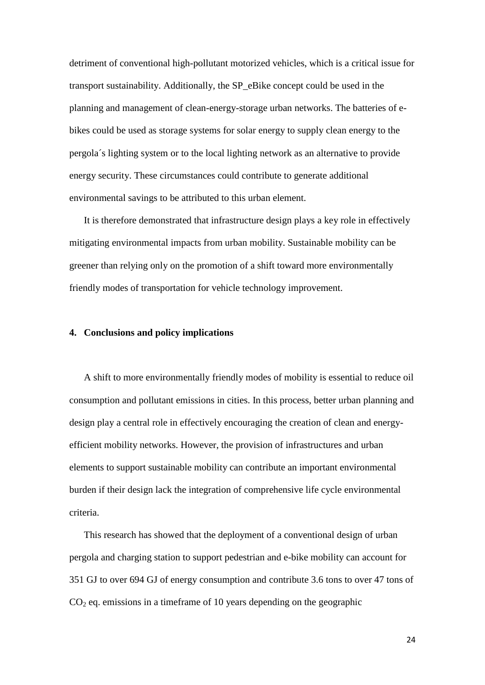detriment of conventional high-pollutant motorized vehicles, which is a critical issue for transport sustainability. Additionally, the SP\_eBike concept could be used in the planning and management of clean-energy-storage urban networks. The batteries of ebikes could be used as storage systems for solar energy to supply clean energy to the pergola´s lighting system or to the local lighting network as an alternative to provide energy security. These circumstances could contribute to generate additional environmental savings to be attributed to this urban element.

It is therefore demonstrated that infrastructure design plays a key role in effectively mitigating environmental impacts from urban mobility. Sustainable mobility can be greener than relying only on the promotion of a shift toward more environmentally friendly modes of transportation for vehicle technology improvement.

## **4. Conclusions and policy implications**

A shift to more environmentally friendly modes of mobility is essential to reduce oil consumption and pollutant emissions in cities. In this process, better urban planning and design play a central role in effectively encouraging the creation of clean and energyefficient mobility networks. However, the provision of infrastructures and urban elements to support sustainable mobility can contribute an important environmental burden if their design lack the integration of comprehensive life cycle environmental criteria.

This research has showed that the deployment of a conventional design of urban pergola and charging station to support pedestrian and e-bike mobility can account for 351 GJ to over 694 GJ of energy consumption and contribute 3.6 tons to over 47 tons of  $CO<sub>2</sub>$  eq. emissions in a timeframe of 10 years depending on the geographic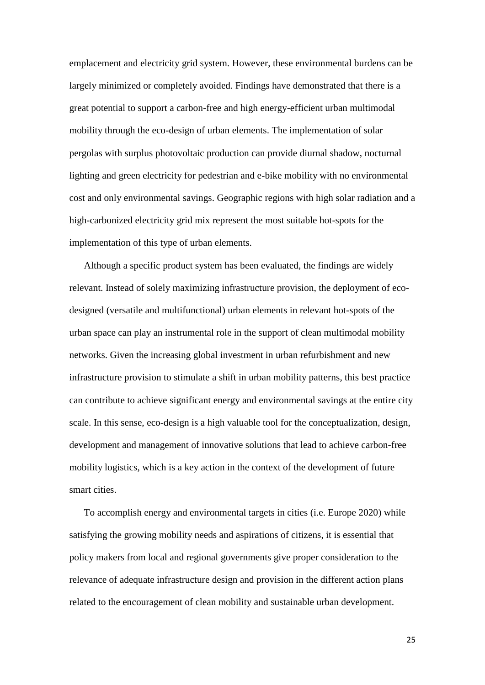emplacement and electricity grid system. However, these environmental burdens can be largely minimized or completely avoided. Findings have demonstrated that there is a great potential to support a carbon-free and high energy-efficient urban multimodal mobility through the eco-design of urban elements. The implementation of solar pergolas with surplus photovoltaic production can provide diurnal shadow, nocturnal lighting and green electricity for pedestrian and e-bike mobility with no environmental cost and only environmental savings. Geographic regions with high solar radiation and a high-carbonized electricity grid mix represent the most suitable hot-spots for the implementation of this type of urban elements.

Although a specific product system has been evaluated, the findings are widely relevant. Instead of solely maximizing infrastructure provision, the deployment of ecodesigned (versatile and multifunctional) urban elements in relevant hot-spots of the urban space can play an instrumental role in the support of clean multimodal mobility networks. Given the increasing global investment in urban refurbishment and new infrastructure provision to stimulate a shift in urban mobility patterns, this best practice can contribute to achieve significant energy and environmental savings at the entire city scale. In this sense, eco-design is a high valuable tool for the conceptualization, design, development and management of innovative solutions that lead to achieve carbon-free mobility logistics, which is a key action in the context of the development of future smart cities.

To accomplish energy and environmental targets in cities (i.e. Europe 2020) while satisfying the growing mobility needs and aspirations of citizens, it is essential that policy makers from local and regional governments give proper consideration to the relevance of adequate infrastructure design and provision in the different action plans related to the encouragement of clean mobility and sustainable urban development.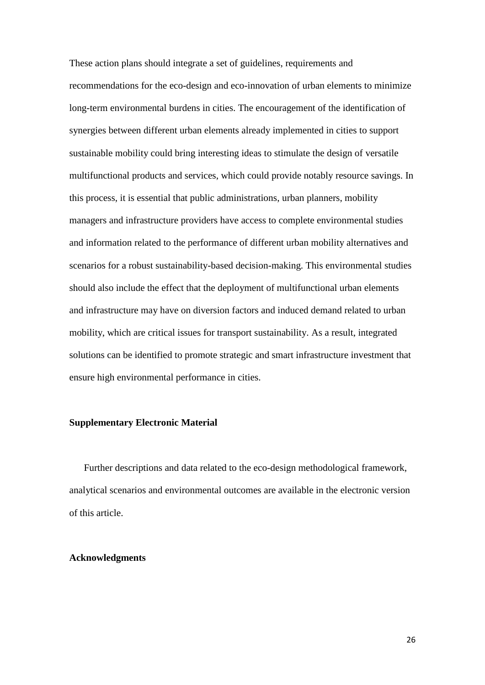These action plans should integrate a set of guidelines, requirements and recommendations for the eco-design and eco-innovation of urban elements to minimize long-term environmental burdens in cities. The encouragement of the identification of synergies between different urban elements already implemented in cities to support sustainable mobility could bring interesting ideas to stimulate the design of versatile multifunctional products and services, which could provide notably resource savings. In this process, it is essential that public administrations, urban planners, mobility managers and infrastructure providers have access to complete environmental studies and information related to the performance of different urban mobility alternatives and scenarios for a robust sustainability-based decision-making. This environmental studies should also include the effect that the deployment of multifunctional urban elements and infrastructure may have on diversion factors and induced demand related to urban mobility, which are critical issues for transport sustainability. As a result, integrated solutions can be identified to promote strategic and smart infrastructure investment that ensure high environmental performance in cities.

## **Supplementary Electronic Material**

Further descriptions and data related to the eco-design methodological framework, analytical scenarios and environmental outcomes are available in the electronic version of this article.

## **Acknowledgments**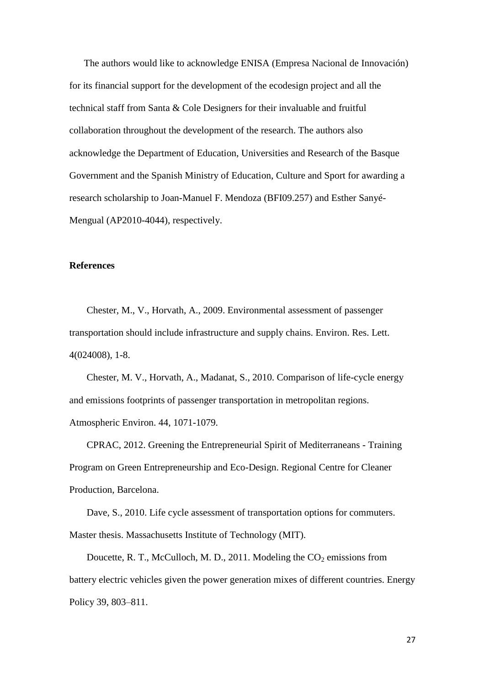The authors would like to acknowledge ENISA (Empresa Nacional de Innovación) for its financial support for the development of the ecodesign project and all the technical staff from Santa & Cole Designers for their invaluable and fruitful collaboration throughout the development of the research. The authors also acknowledge the Department of Education, Universities and Research of the Basque Government and the Spanish Ministry of Education, Culture and Sport for awarding a research scholarship to Joan-Manuel F. Mendoza (BFI09.257) and Esther Sanyé-Mengual (AP2010-4044), respectively.

## **References**

Chester, M., V., Horvath, A., 2009. Environmental assessment of passenger transportation should include infrastructure and supply chains. Environ. Res. Lett. 4(024008), 1-8.

Chester, M. V., Horvath, A., Madanat, S., 2010. Comparison of life-cycle energy and emissions footprints of passenger transportation in metropolitan regions. Atmospheric Environ. 44, 1071-1079.

CPRAC, 2012. Greening the Entrepreneurial Spirit of Mediterraneans - Training Program on Green Entrepreneurship and Eco-Design. Regional Centre for Cleaner Production, Barcelona.

Dave, S., 2010. Life cycle assessment of transportation options for commuters. Master thesis. Massachusetts Institute of Technology (MIT).

Doucette, R. T., McCulloch, M. D., 2011. Modeling the  $CO<sub>2</sub>$  emissions from battery electric vehicles given the power generation mixes of different countries. Energy Policy 39, 803–811.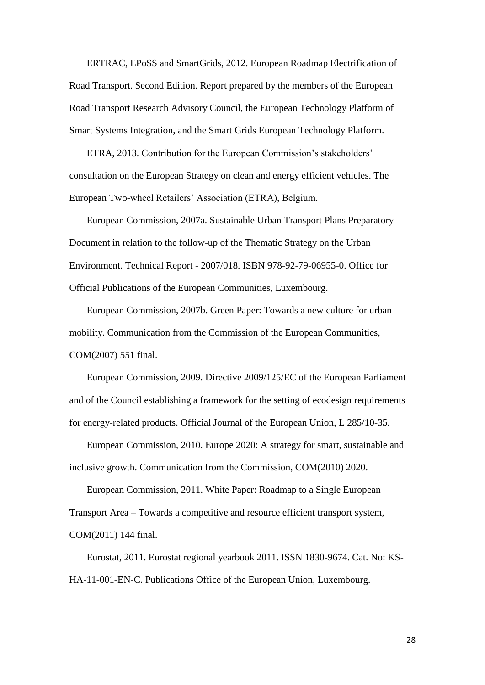ERTRAC, EPoSS and SmartGrids, 2012. European Roadmap Electrification of Road Transport. Second Edition. Report prepared by the members of the European Road Transport Research Advisory Council, the European Technology Platform of Smart Systems Integration, and the Smart Grids European Technology Platform.

ETRA, 2013. Contribution for the European Commission's stakeholders' consultation on the European Strategy on clean and energy efficient vehicles. The European Two-wheel Retailers' Association (ETRA), Belgium.

European Commission, 2007a. Sustainable Urban Transport Plans Preparatory Document in relation to the follow-up of the Thematic Strategy on the Urban Environment. Technical Report - 2007/018. ISBN 978-92-79-06955-0. Office for Official Publications of the European Communities, Luxembourg.

European Commission, 2007b. Green Paper: Towards a new culture for urban mobility. Communication from the Commission of the European Communities, COM(2007) 551 final.

European Commission, 2009. Directive 2009/125/EC of the European Parliament and of the Council establishing a framework for the setting of ecodesign requirements for energy-related products. Official Journal of the European Union, L 285/10-35.

European Commission, 2010. Europe 2020: A strategy for smart, sustainable and inclusive growth. Communication from the Commission, COM(2010) 2020.

European Commission, 2011. White Paper: Roadmap to a Single European Transport Area – Towards a competitive and resource efficient transport system, COM(2011) 144 final.

Eurostat, 2011. Eurostat regional yearbook 2011. ISSN 1830-9674. Cat. No: KS-HA-11-001-EN-C. Publications Office of the European Union, Luxembourg.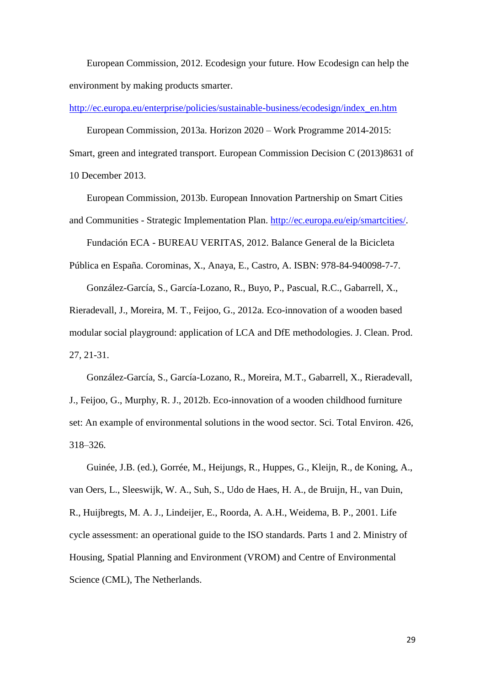European Commission, 2012. Ecodesign your future. How Ecodesign can help the environment by making products smarter.

[http://ec.europa.eu/enterprise/policies/sustainable-business/ecodesign/index\\_en.htm](http://ec.europa.eu/enterprise/policies/sustainable-business/ecodesign/index_en.htm)

European Commission, 2013a. Horizon 2020 – Work Programme 2014-2015:

Smart, green and integrated transport. European Commission Decision C (2013)8631 of 10 December 2013.

European Commission, 2013b. European Innovation Partnership on Smart Cities

and Communities - Strategic Implementation Plan. [http://ec.europa.eu/eip/smartcities/.](http://ec.europa.eu/eip/smartcities/)

Fundación ECA - BUREAU VERITAS, 2012. Balance General de la Bicicleta

Pública en España. Corominas, X., Anaya, E., Castro, A. ISBN: 978-84-940098-7-7. González-García, S., García-Lozano, R., Buyo, P., Pascual, R.C., Gabarrell, X.,

Rieradevall, J., Moreira, M. T., Feijoo, G., 2012a. Eco-innovation of a wooden based modular social playground: application of LCA and DfE methodologies. J. Clean. Prod. 27, 21-31.

González-García, S., García-Lozano, R., Moreira, M.T., Gabarrell, X., Rieradevall, J., Feijoo, G., Murphy, R. J., 2012b. Eco-innovation of a wooden childhood furniture set: An example of environmental solutions in the wood sector. Sci. Total Environ. 426, 318–326.

Guinée, J.B. (ed.), Gorrée, M., Heijungs, R., Huppes, G., Kleijn, R., de Koning, A., van Oers, L., Sleeswijk, W. A., Suh, S., Udo de Haes, H. A., de Bruijn, H., van Duin, R., Huijbregts, M. A. J., Lindeijer, E., Roorda, A. A.H., Weidema, B. P., 2001. Life cycle assessment: an operational guide to the ISO standards. Parts 1 and 2. Ministry of Housing, Spatial Planning and Environment (VROM) and Centre of Environmental Science (CML), The Netherlands.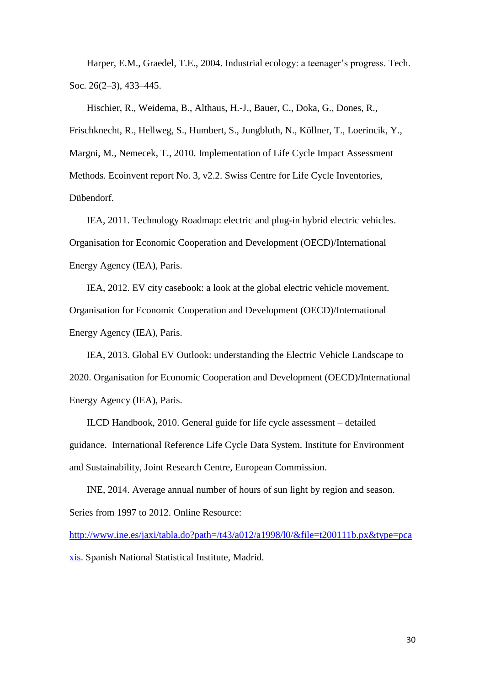Harper, E.M., Graedel, T.E., 2004. Industrial ecology: a teenager's progress. Tech. Soc. 26(2–3), 433–445.

Hischier, R., Weidema, B., Althaus, H.-J., Bauer, C., Doka, G., Dones, R., Frischknecht, R., Hellweg, S., Humbert, S., Jungbluth, N., Köllner, T., Loerincik, Y., Margni, M., Nemecek, T., 2010. Implementation of Life Cycle Impact Assessment Methods. Ecoinvent report No. 3, v2.2. Swiss Centre for Life Cycle Inventories, Dübendorf.

IEA, 2011. Technology Roadmap: electric and plug-in hybrid electric vehicles. Organisation for Economic Cooperation and Development (OECD)/International Energy Agency (IEA), Paris.

IEA, 2012. EV city casebook: a look at the global electric vehicle movement. Organisation for Economic Cooperation and Development (OECD)/International Energy Agency (IEA), Paris.

IEA, 2013. Global EV Outlook: understanding the Electric Vehicle Landscape to 2020. Organisation for Economic Cooperation and Development (OECD)/International Energy Agency (IEA), Paris.

ILCD Handbook, 2010. General guide for life cycle assessment – detailed guidance. International Reference Life Cycle Data System. Institute for Environment and Sustainability, Joint Research Centre, European Commission.

INE, 2014. Average annual number of hours of sun light by region and season. Series from 1997 to 2012. Online Resource:

[http://www.ine.es/jaxi/tabla.do?path=/t43/a012/a1998/l0/&file=t200111b.px&type=pca](http://www.ine.es/jaxi/tabla.do?path=/t43/a012/a1998/l0/&file=t200111b.px&type=pcaxis) [xis.](http://www.ine.es/jaxi/tabla.do?path=/t43/a012/a1998/l0/&file=t200111b.px&type=pcaxis) Spanish National Statistical Institute, Madrid.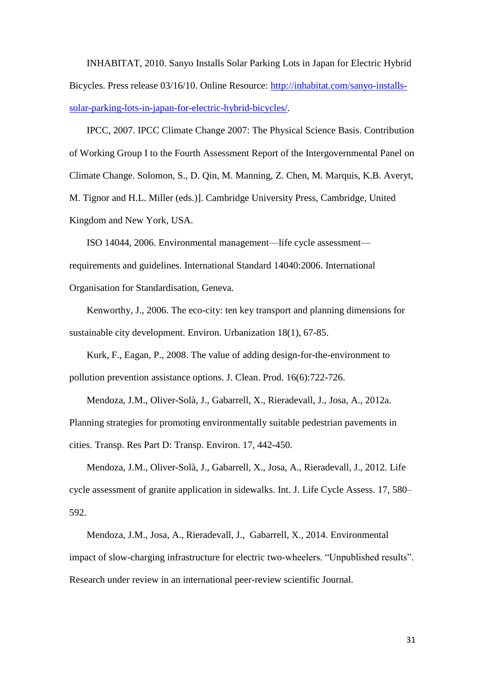INHABITAT, 2010. Sanyo Installs Solar Parking Lots in Japan for Electric Hybrid Bicycles. Press release 03/16/10. Online Resource: [http://inhabitat.com/sanyo-installs](http://inhabitat.com/sanyo-installs-solar-parking-lots-in-japan-for-electric-hybrid-bicycles/)[solar-parking-lots-in-japan-for-electric-hybrid-bicycles/.](http://inhabitat.com/sanyo-installs-solar-parking-lots-in-japan-for-electric-hybrid-bicycles/)

IPCC, 2007. IPCC Climate Change 2007: The Physical Science Basis. Contribution of Working Group I to the Fourth Assessment Report of the Intergovernmental Panel on Climate Change. Solomon, S., D. Qin, M. Manning, Z. Chen, M. Marquis, K.B. Averyt, M. Tignor and H.L. Miller (eds.)]. Cambridge University Press, Cambridge, United Kingdom and New York, USA.

ISO 14044, 2006. Environmental management—life cycle assessment requirements and guidelines. International Standard 14040:2006. International Organisation for Standardisation, Geneva.

Kenworthy, J., 2006. The eco-city: ten key transport and planning dimensions for sustainable city development. Environ. Urbanization 18(1), 67-85.

Kurk, F., Eagan, P., 2008. The value of adding design-for-the-environment to pollution prevention assistance options. J. Clean. Prod. 16(6):722-726.

Mendoza, J.M., Oliver-Solà, J., Gabarrell, X., Rieradevall, J., Josa, A., 2012a. Planning strategies for promoting environmentally suitable pedestrian pavements in cities. Transp. Res Part D: Transp. Environ. 17, 442-450.

Mendoza, J.M., Oliver-Solà, J., Gabarrell, X., Josa, A., Rieradevall, J., 2012. Life cycle assessment of granite application in sidewalks. Int. J. Life Cycle Assess. 17, 580– 592.

Mendoza, J.M., Josa, A., Rieradevall, J., Gabarrell, X., 2014. Environmental impact of slow-charging infrastructure for electric two-wheelers. "Unpublished results". Research under review in an international peer-review scientific Journal.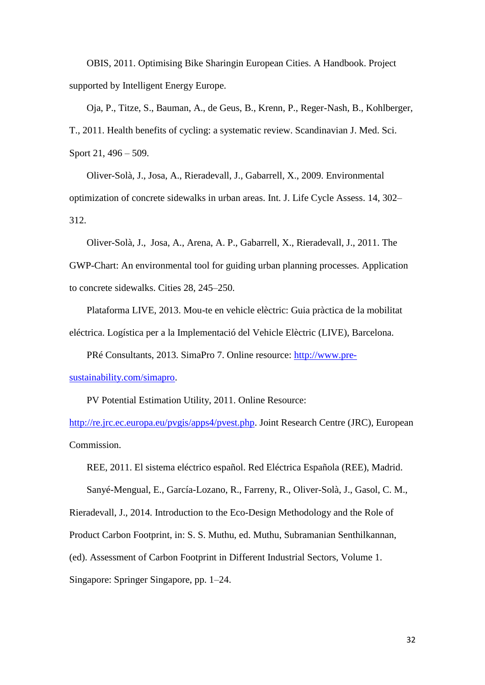OBIS, 2011. Optimising Bike Sharingin European Cities. A Handbook. Project supported by Intelligent Energy Europe.

Oja, P., Titze, S., Bauman, A., de Geus, B., Krenn, P., Reger-Nash, B., Kohlberger, T., 2011. Health benefits of cycling: a systematic review. Scandinavian J. Med. Sci. Sport 21, 496 – 509.

Oliver-Solà, J., Josa, A., Rieradevall, J., Gabarrell, X., 2009. Environmental optimization of concrete sidewalks in urban areas. Int. J. Life Cycle Assess. 14, 302– 312.

Oliver-Solà, J., Josa, A., Arena, A. P., Gabarrell, X., Rieradevall, J., 2011. The GWP-Chart: An environmental tool for guiding urban planning processes. Application to concrete sidewalks. Cities 28, 245–250.

Plataforma LIVE, 2013. Mou-te en vehicle elèctric: Guia pràctica de la mobilitat eléctrica. Logística per a la Implementació del Vehicle Elèctric (LIVE), Barcelona.

PRé Consultants, 2013. SimaPro 7. Online resource: [http://www.pre-](http://www.pre-sustainability.com/simapro)

[sustainability.com/simapro.](http://www.pre-sustainability.com/simapro)

PV Potential Estimation Utility, 2011. Online Resource:

[http://re.jrc.ec.europa.eu/pvgis/apps4/pvest.php.](http://re.jrc.ec.europa.eu/pvgis/apps4/pvest.php) Joint Research Centre (JRC), European Commission.

REE, 2011. El sistema eléctrico español. Red Eléctrica Española (REE), Madrid.

Sanyé-Mengual, E., García-Lozano, R., Farreny, R., Oliver-Solà, J., Gasol, C. M.,

Rieradevall, J., 2014. Introduction to the Eco-Design Methodology and the Role of

Product Carbon Footprint, in: S. S. Muthu, ed. Muthu, Subramanian Senthilkannan,

(ed). Assessment of Carbon Footprint in Different Industrial Sectors, Volume 1.

Singapore: Springer Singapore, pp. 1–24.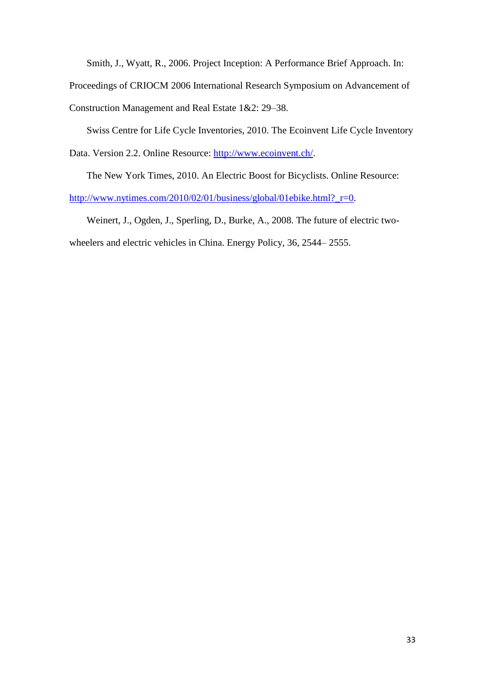Smith, J., Wyatt, R., 2006. Project Inception: A Performance Brief Approach. In:

Proceedings of CRIOCM 2006 International Research Symposium on Advancement of

Construction Management and Real Estate 1&2: 29–38.

Swiss Centre for Life Cycle Inventories, 2010. The Ecoinvent Life Cycle Inventory

Data. Version 2.2. Online Resource: [http://www.ecoinvent.ch/.](http://www.ecoinvent.ch/)

The New York Times, 2010. An Electric Boost for Bicyclists. Online Resource:

[http://www.nytimes.com/2010/02/01/business/global/01ebike.html?\\_r=0.](http://www.nytimes.com/2010/02/01/business/global/01ebike.html?_r=0)

Weinert, J., Ogden, J., Sperling, D., Burke, A., 2008. The future of electric twowheelers and electric vehicles in China. Energy Policy, 36, 2544– 2555.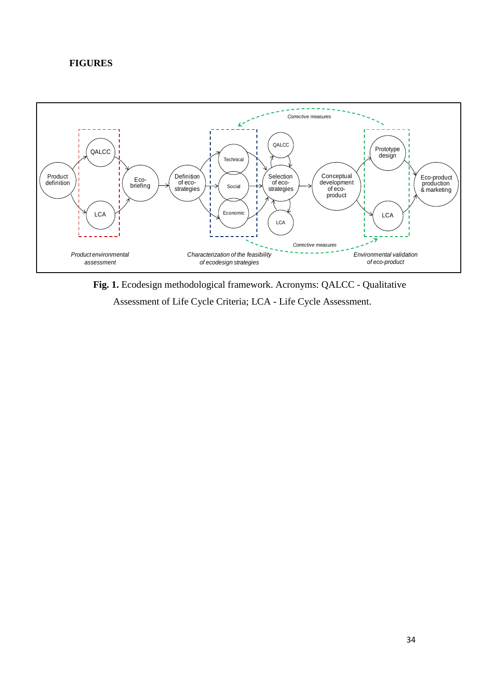## **FIGURES**



**Fig. 1.** Ecodesign methodological framework. Acronyms: QALCC - Qualitative Assessment of Life Cycle Criteria; LCA - Life Cycle Assessment.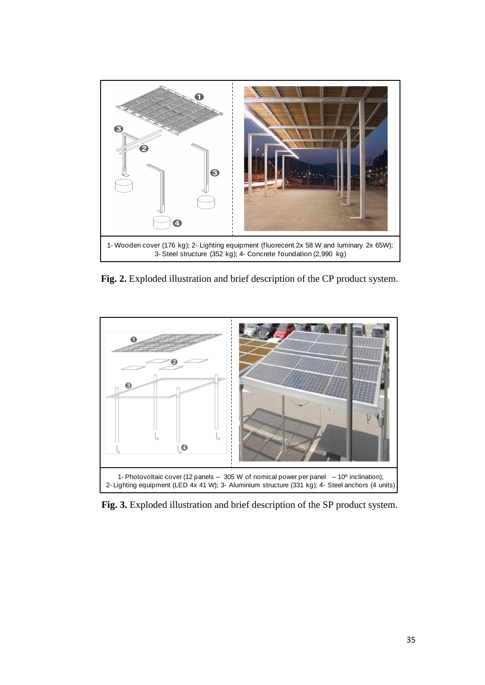

**Fig. 2.** Exploded illustration and brief description of the CP product system.



**Fig. 3.** Exploded illustration and brief description of the SP product system.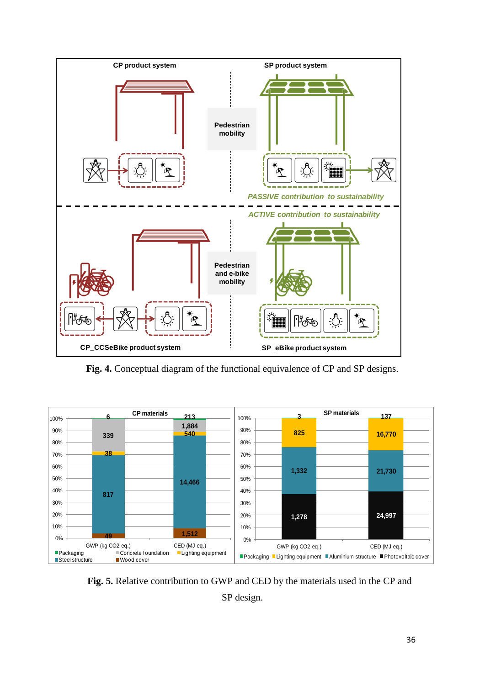

**Fig. 4.** Conceptual diagram of the functional equivalence of CP and SP designs.



**Fig. 5.** Relative contribution to GWP and CED by the materials used in the CP and SP design.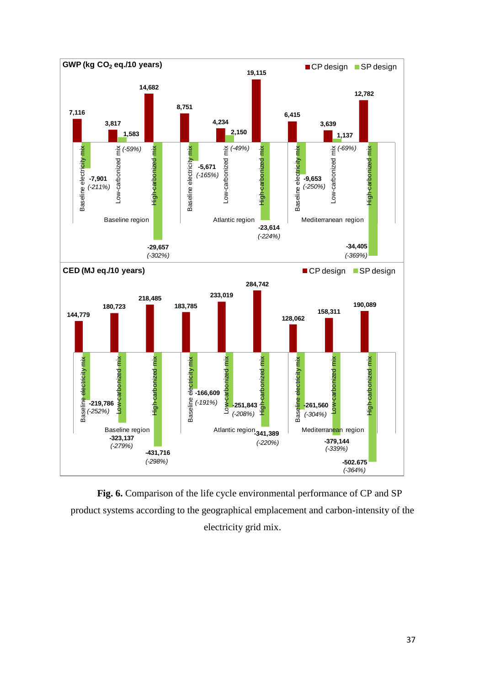

**Fig. 6.** Comparison of the life cycle environmental performance of CP and SP product systems according to the geographical emplacement and carbon-intensity of the electricity grid mix.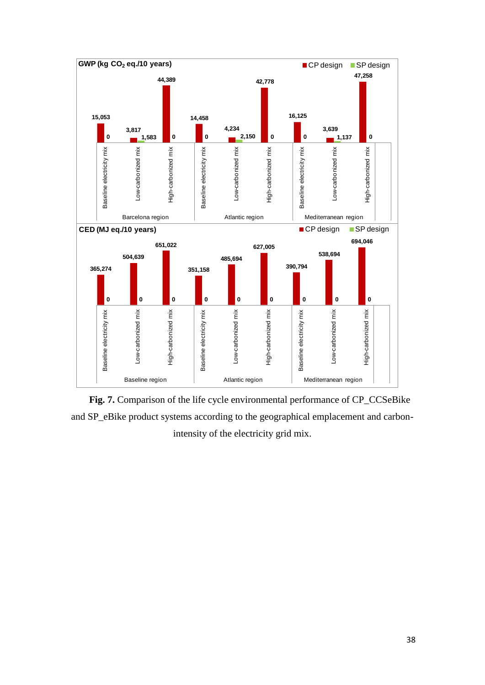

**Fig. 7.** Comparison of the life cycle environmental performance of CP\_CCSeBike and SP\_eBike product systems according to the geographical emplacement and carbonintensity of the electricity grid mix.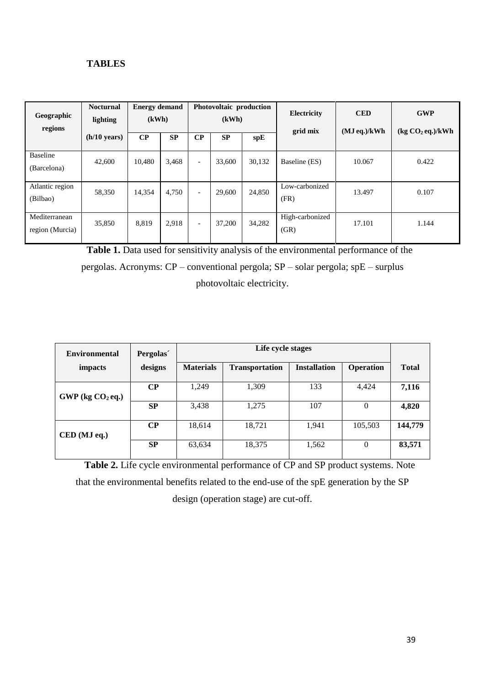## **TABLES**

| Geographic<br>regions            | <b>Nocturnal</b><br>lighting | <b>Energy demand</b><br>(kWh) |       | Photovoltaic production<br>(kWh) |        |        | <b>Electricity</b><br>grid mix | <b>CED</b><br>(MJeq.)/kWh | <b>GWP</b><br>(kg CO <sub>2</sub> eq.)/kWh |  |
|----------------------------------|------------------------------|-------------------------------|-------|----------------------------------|--------|--------|--------------------------------|---------------------------|--------------------------------------------|--|
|                                  | $(h/10 \text{ years})$       | $\bf CP$                      | SP    | $\bf CP$                         | SP     | spE    |                                |                           |                                            |  |
| Baseline<br>(Barcelona)          | 42,600                       | 10,480                        | 3,468 | $\overline{\phantom{0}}$         | 33,600 | 30,132 | Baseline (ES)                  | 10.067                    | 0.422                                      |  |
| Atlantic region<br>(Bilbao)      | 58,350                       | 14,354                        | 4,750 | $\overline{\phantom{a}}$         | 29,600 | 24,850 | Low-carbonized<br>(FR)         | 13.497                    | 0.107                                      |  |
| Mediterranean<br>region (Murcia) | 35,850                       | 8,819                         | 2,918 | $\overline{\phantom{a}}$         | 37,200 | 34,282 | High-carbonized<br>(GR)        | 17.101                    | 1.144                                      |  |

**Table 1.** Data used for sensitivity analysis of the environmental performance of the pergolas. Acronyms: CP – conventional pergola; SP – solar pergola; spE – surplus photovoltaic electricity.

| <b>Environmental</b>    | Pergolas  |                  |                       |                     |                |              |
|-------------------------|-----------|------------------|-----------------------|---------------------|----------------|--------------|
| impacts                 | designs   | <b>Materials</b> | <b>Transportation</b> | <b>Installation</b> | Operation      | <b>Total</b> |
| $GWP$ (kg $CO2$ eq.)    | $\bf CP$  | 1,249            | 1,309                 | 133                 | 4,424          | 7,116        |
|                         | <b>SP</b> | 3,438            | 1,275                 | 107                 | $\Omega$       | 4,820        |
| $\mathbf{CFD}$ (MJ eq.) | $\bf CP$  | 18,614           | 18,721                | 1,941               | 105,503        | 144,779      |
|                         | <b>SP</b> | 63,634           | 18,375                | 1,562               | $\overline{0}$ | 83,571       |

**Table 2.** Life cycle environmental performance of CP and SP product systems. Note that the environmental benefits related to the end-use of the spE generation by the SP design (operation stage) are cut-off.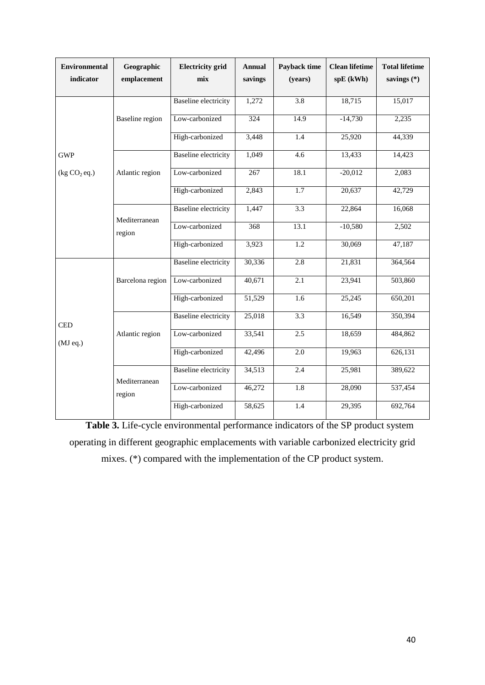| <b>Environmental</b><br>indicator | Geographic<br>emplacement | <b>Electricity</b> grid<br>mix | <b>Annual</b><br>savings | Payback time<br>(years) | <b>Clean lifetime</b><br>spE (kWh) | <b>Total lifetime</b><br>savings $(*)$ |
|-----------------------------------|---------------------------|--------------------------------|--------------------------|-------------------------|------------------------------------|----------------------------------------|
|                                   |                           | <b>Baseline</b> electricity    | 1,272                    | $\overline{3.8}$        | 18,715                             | 15,017                                 |
|                                   | Baseline region           | Low-carbonized                 | 324                      | 14.9                    | $-14,730$                          | 2,235                                  |
|                                   |                           | High-carbonized                | 3,448                    | 1.4                     | 25,920                             | 44,339                                 |
| <b>GWP</b>                        | Atlantic region           | <b>Baseline</b> electricity    | 1,049                    | 4.6                     | 13,433                             | 14,423                                 |
| (kg CO <sub>2</sub> eq.)          |                           | Low-carbonized                 | $267\,$                  | 18.1                    | $-20,012$                          | 2,083                                  |
|                                   |                           | High-carbonized                | 2,843                    | 1.7                     | 20,637                             | 42,729                                 |
|                                   | Mediterranean<br>region   | <b>Baseline</b> electricity    | 1,447                    | $\overline{3.3}$        | 22,864                             | 16,068                                 |
|                                   |                           | Low-carbonized                 | 368                      | 13.1                    | $-10,580$                          | 2,502                                  |
|                                   |                           | High-carbonized                | 3,923                    | $\overline{1.2}$        | 30,069                             | 47,187                                 |
| <b>CED</b><br>(MJeq.)             |                           | <b>Baseline</b> electricity    | 30,336                   | 2.8                     | 21,831                             | 364,564                                |
|                                   | Barcelona region          | Low-carbonized                 | 40,671                   | 2.1                     | 23,941                             | 503,860                                |
|                                   |                           | High-carbonized                | 51,529                   | 1.6                     | 25,245                             | 650,201                                |
|                                   |                           | <b>Baseline</b> electricity    | 25,018                   | $\overline{3.3}$        | 16,549                             | 350,394                                |
|                                   | Atlantic region           | Low-carbonized                 | 33,541                   | 2.5                     | 18,659                             | 484,862                                |
|                                   |                           | High-carbonized                | 42,496                   | 2.0                     | 19,963                             | 626,131                                |
|                                   | Mediterranean             | <b>Baseline</b> electricity    | 34,513                   | 2.4                     | 25,981                             | 389,622                                |
|                                   | region                    | Low-carbonized                 | 46,272                   | 1.8                     | 28,090                             | 537,454                                |
|                                   |                           | High-carbonized                | 58,625                   | 1.4                     | 29,395                             | 692,764                                |

**Table 3.** Life-cycle environmental performance indicators of the SP product system operating in different geographic emplacements with variable carbonized electricity grid mixes. (\*) compared with the implementation of the CP product system.